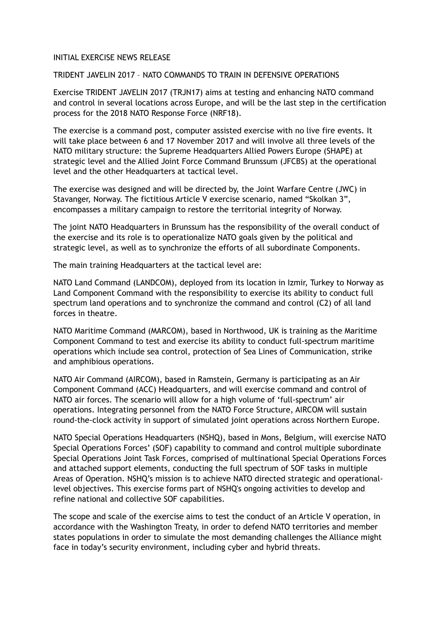## INITIAL EXERCISE NEWS RELEASE

## TRIDENT JAVELIN 2017 – NATO COMMANDS TO TRAIN IN DEFENSIVE OPERATIONS

Exercise TRIDENT JAVELIN 2017 (TRJN17) aims at testing and enhancing NATO command and control in several locations across Europe, and will be the last step in the certification process for the 2018 NATO Response Force (NRF18).

The exercise is a command post, computer assisted exercise with no live fire events. It will take place between 6 and 17 November 2017 and will involve all three levels of the NATO military structure: the Supreme Headquarters Allied Powers Europe (SHAPE) at strategic level and the Allied Joint Force Command Brunssum (JFCBS) at the operational level and the other Headquarters at tactical level.

The exercise was designed and will be directed by, the Joint Warfare Centre (JWC) in Stavanger, Norway. The fictitious Article V exercise scenario, named "Skolkan 3", encompasses a military campaign to restore the territorial integrity of Norway.

The joint NATO Headquarters in Brunssum has the responsibility of the overall conduct of the exercise and its role is to operationalize NATO goals given by the political and strategic level, as well as to synchronize the efforts of all subordinate Components.

The main training Headquarters at the tactical level are:

NATO Land Command (LANDCOM), deployed from its location in Izmir, Turkey to Norway as Land Component Command with the responsibility to exercise its ability to conduct full spectrum land operations and to synchronize the command and control (C2) of all land forces in theatre.

NATO Maritime Command (MARCOM), based in Northwood, UK is training as the Maritime Component Command to test and exercise its ability to conduct full-spectrum maritime operations which include sea control, protection of Sea Lines of Communication, strike and amphibious operations.

NATO Air Command (AIRCOM), based in Ramstein, Germany is participating as an Air Component Command (ACC) Headquarters, and will exercise command and control of NATO air forces. The scenario will allow for a high volume of 'full-spectrum' air operations. Integrating personnel from the NATO Force Structure, AIRCOM will sustain round-the-clock activity in support of simulated joint operations across Northern Europe.

NATO Special Operations Headquarters (NSHQ), based in Mons, Belgium, will exercise NATO Special Operations Forces' (SOF) capability to command and control multiple subordinate Special Operations Joint Task Forces, comprised of multinational Special Operations Forces and attached support elements, conducting the full spectrum of SOF tasks in multiple Areas of Operation. NSHQ's mission is to achieve NATO directed strategic and operationallevel objectives. This exercise forms part of NSHQ's ongoing activities to develop and refine national and collective SOF capabilities.

The scope and scale of the exercise aims to test the conduct of an Article V operation, in accordance with the Washington Treaty, in order to defend NATO territories and member states populations in order to simulate the most demanding challenges the Alliance might face in today's security environment, including cyber and hybrid threats.